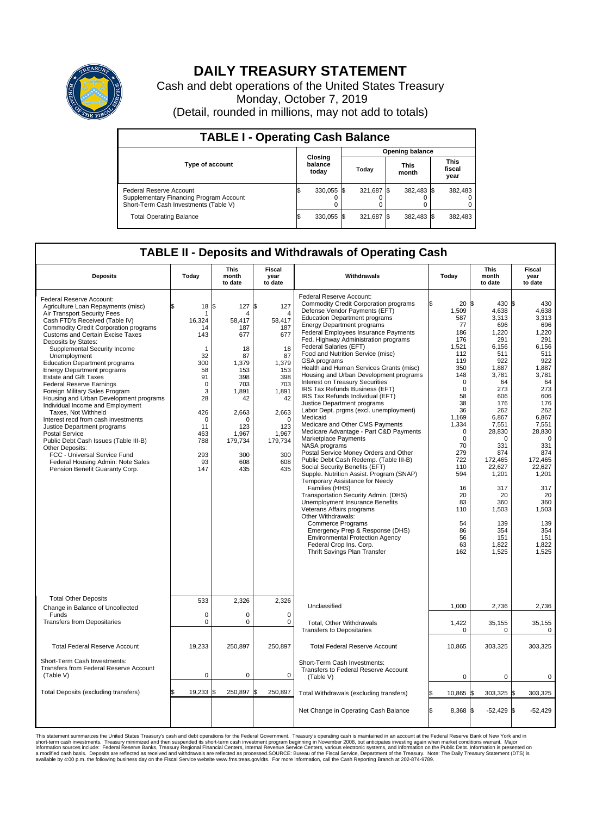

## **DAILY TREASURY STATEMENT**

Cash and debt operations of the United States Treasury Monday, October 7, 2019 (Detail, rounded in millions, may not add to totals)

| <b>TABLE I - Operating Cash Balance</b>                                                                     |                             |            |       |                        |                      |            |                               |         |  |  |  |
|-------------------------------------------------------------------------------------------------------------|-----------------------------|------------|-------|------------------------|----------------------|------------|-------------------------------|---------|--|--|--|
|                                                                                                             | Closing<br>balance<br>today |            |       | <b>Opening balance</b> |                      |            |                               |         |  |  |  |
| <b>Type of account</b>                                                                                      |                             |            | Today |                        | <b>This</b><br>month |            | <b>This</b><br>fiscal<br>year |         |  |  |  |
| Federal Reserve Account<br>Supplementary Financing Program Account<br>Short-Term Cash Investments (Table V) |                             | 330,055 \$ |       | 321.687 \$             |                      | 382,483 \$ |                               | 382,483 |  |  |  |
| <b>Total Operating Balance</b>                                                                              |                             | 330,055 \$ |       | 321,687                | - IS                 | 382,483 \$ |                               | 382,483 |  |  |  |

## **TABLE II - Deposits and Withdrawals of Operating Cash**

| <b>Deposits</b>                                                                                                                                                                                                                                                                                                                                                                                                                                                                                                                                                                                                                                                                                                                                                                                                                                            | Today                                                                                                                                                                | <b>This</b><br>month<br>to date                                                                                                                                | <b>Fiscal</b><br>year<br>to date                                                                                                                                                              | Withdrawals                                                                                                                                                                                                                                                                                                                                                                                                                                                                                                                                                                                                                                                                                                                                                                                                                                                                                                                                                                                                                                                                                                                                                                                                                                                                           | Today                                                                                                                                                                                                                                                                           | <b>This</b><br>month<br>to date                                                                                                                                                                                                                                             | <b>Fiscal</b><br>year<br>to date                                                                                                                                                                                                                                                   |  |
|------------------------------------------------------------------------------------------------------------------------------------------------------------------------------------------------------------------------------------------------------------------------------------------------------------------------------------------------------------------------------------------------------------------------------------------------------------------------------------------------------------------------------------------------------------------------------------------------------------------------------------------------------------------------------------------------------------------------------------------------------------------------------------------------------------------------------------------------------------|----------------------------------------------------------------------------------------------------------------------------------------------------------------------|----------------------------------------------------------------------------------------------------------------------------------------------------------------|-----------------------------------------------------------------------------------------------------------------------------------------------------------------------------------------------|---------------------------------------------------------------------------------------------------------------------------------------------------------------------------------------------------------------------------------------------------------------------------------------------------------------------------------------------------------------------------------------------------------------------------------------------------------------------------------------------------------------------------------------------------------------------------------------------------------------------------------------------------------------------------------------------------------------------------------------------------------------------------------------------------------------------------------------------------------------------------------------------------------------------------------------------------------------------------------------------------------------------------------------------------------------------------------------------------------------------------------------------------------------------------------------------------------------------------------------------------------------------------------------|---------------------------------------------------------------------------------------------------------------------------------------------------------------------------------------------------------------------------------------------------------------------------------|-----------------------------------------------------------------------------------------------------------------------------------------------------------------------------------------------------------------------------------------------------------------------------|------------------------------------------------------------------------------------------------------------------------------------------------------------------------------------------------------------------------------------------------------------------------------------|--|
| Federal Reserve Account:<br>Agriculture Loan Repayments (misc)<br>Air Transport Security Fees<br>Cash FTD's Received (Table IV)<br><b>Commodity Credit Corporation programs</b><br><b>Customs and Certain Excise Taxes</b><br>Deposits by States:<br>Supplemental Security Income<br>Unemployment<br><b>Education Department programs</b><br><b>Energy Department programs</b><br><b>Estate and Gift Taxes</b><br><b>Federal Reserve Earnings</b><br>Foreign Military Sales Program<br>Housing and Urban Development programs<br>Individual Income and Employment<br>Taxes. Not Withheld<br>Interest recd from cash investments<br>Justice Department programs<br><b>Postal Service</b><br>Public Debt Cash Issues (Table III-B)<br>Other Deposits:<br>FCC - Universal Service Fund<br>Federal Housing Admin: Note Sales<br>Pension Benefit Guaranty Corp. | 18<br>ፍ<br>-1<br>16.324<br>14<br>143<br>$\mathbf 1$<br>32<br>300<br>58<br>91<br>$\mathbf 0$<br>3<br>28<br>426<br>$\mathbf 0$<br>11<br>463<br>788<br>293<br>93<br>147 | 1\$<br>127<br>Δ<br>58.417<br>187<br>677<br>18<br>87<br>1,379<br>153<br>398<br>703<br>1,891<br>42<br>2,663<br>0<br>123<br>1,967<br>179,734<br>300<br>608<br>435 | \$<br>127<br>$\overline{\mathbf{4}}$<br>58.417<br>187<br>677<br>18<br>87<br>1,379<br>153<br>398<br>703<br>1,891<br>42<br>2,663<br>$\mathbf 0$<br>123<br>1,967<br>179,734<br>300<br>608<br>435 | Federal Reserve Account:<br><b>Commodity Credit Corporation programs</b><br>Defense Vendor Payments (EFT)<br><b>Education Department programs</b><br><b>Energy Department programs</b><br>Federal Employees Insurance Payments<br>Fed. Highway Administration programs<br>Federal Salaries (EFT)<br>Food and Nutrition Service (misc)<br>GSA programs<br>Health and Human Services Grants (misc)<br>Housing and Urban Development programs<br>Interest on Treasury Securities<br>IRS Tax Refunds Business (EFT)<br>IRS Tax Refunds Individual (EFT)<br>Justice Department programs<br>Labor Dept. prgms (excl. unemployment)<br>Medicaid<br>Medicare and Other CMS Payments<br>Medicare Advantage - Part C&D Payments<br>Marketplace Payments<br>NASA programs<br>Postal Service Money Orders and Other<br>Public Debt Cash Redemp. (Table III-B)<br>Social Security Benefits (EFT)<br>Supple. Nutrition Assist. Program (SNAP)<br>Temporary Assistance for Needy<br>Families (HHS)<br>Transportation Security Admin. (DHS)<br>Unemployment Insurance Benefits<br>Veterans Affairs programs<br>Other Withdrawals:<br><b>Commerce Programs</b><br>Emergency Prep & Response (DHS)<br><b>Environmental Protection Agency</b><br>Federal Crop Ins. Corp.<br>Thrift Savings Plan Transfer | 20 <sub>5</sub><br>1,509<br>587<br>77<br>186<br>176<br>1,521<br>112<br>119<br>350<br>148<br>$\mathbf 0$<br>$\mathbf 0$<br>58<br>38<br>36<br>1,169<br>1,334<br>$\Omega$<br>$\mathbf 0$<br>70<br>279<br>722<br>110<br>594<br>16<br>20<br>83<br>110<br>54<br>86<br>56<br>63<br>162 | 430 \$<br>4,638<br>3,313<br>696<br>1,220<br>291<br>6,156<br>511<br>922<br>1,887<br>3.781<br>64<br>273<br>606<br>176<br>262<br>6,867<br>7,551<br>28,830<br>0<br>331<br>874<br>172,465<br>22,627<br>1,201<br>317<br>20<br>360<br>1,503<br>139<br>354<br>151<br>1,822<br>1,525 | 430<br>4,638<br>3,313<br>696<br>1.220<br>291<br>6,156<br>511<br>922<br>1,887<br>3,781<br>64<br>273<br>606<br>176<br>262<br>6,867<br>7,551<br>28,830<br>$\mathbf 0$<br>331<br>874<br>172,465<br>22,627<br>1,201<br>317<br>20<br>360<br>1,503<br>139<br>354<br>151<br>1,822<br>1.525 |  |
| <b>Total Other Deposits</b>                                                                                                                                                                                                                                                                                                                                                                                                                                                                                                                                                                                                                                                                                                                                                                                                                                | 533                                                                                                                                                                  | 2,326                                                                                                                                                          | 2,326                                                                                                                                                                                         | Unclassified                                                                                                                                                                                                                                                                                                                                                                                                                                                                                                                                                                                                                                                                                                                                                                                                                                                                                                                                                                                                                                                                                                                                                                                                                                                                          | 1,000                                                                                                                                                                                                                                                                           | 2,736                                                                                                                                                                                                                                                                       | 2,736                                                                                                                                                                                                                                                                              |  |
| Change in Balance of Uncollected<br>Funds                                                                                                                                                                                                                                                                                                                                                                                                                                                                                                                                                                                                                                                                                                                                                                                                                  | $\mathbf 0$                                                                                                                                                          | 0                                                                                                                                                              | $\mathbf 0$                                                                                                                                                                                   |                                                                                                                                                                                                                                                                                                                                                                                                                                                                                                                                                                                                                                                                                                                                                                                                                                                                                                                                                                                                                                                                                                                                                                                                                                                                                       |                                                                                                                                                                                                                                                                                 |                                                                                                                                                                                                                                                                             |                                                                                                                                                                                                                                                                                    |  |
| <b>Transfers from Depositaries</b>                                                                                                                                                                                                                                                                                                                                                                                                                                                                                                                                                                                                                                                                                                                                                                                                                         | $\mathbf 0$                                                                                                                                                          | 0                                                                                                                                                              | $\mathbf 0$                                                                                                                                                                                   | Total, Other Withdrawals<br><b>Transfers to Depositaries</b>                                                                                                                                                                                                                                                                                                                                                                                                                                                                                                                                                                                                                                                                                                                                                                                                                                                                                                                                                                                                                                                                                                                                                                                                                          | 1,422<br>0                                                                                                                                                                                                                                                                      | 35,155<br>0                                                                                                                                                                                                                                                                 | 35,155<br>0                                                                                                                                                                                                                                                                        |  |
| <b>Total Federal Reserve Account</b>                                                                                                                                                                                                                                                                                                                                                                                                                                                                                                                                                                                                                                                                                                                                                                                                                       | 19,233                                                                                                                                                               | 250,897                                                                                                                                                        | 250,897                                                                                                                                                                                       | <b>Total Federal Reserve Account</b>                                                                                                                                                                                                                                                                                                                                                                                                                                                                                                                                                                                                                                                                                                                                                                                                                                                                                                                                                                                                                                                                                                                                                                                                                                                  | 10,865                                                                                                                                                                                                                                                                          | 303,325                                                                                                                                                                                                                                                                     | 303,325                                                                                                                                                                                                                                                                            |  |
| Short-Term Cash Investments:<br>Transfers from Federal Reserve Account<br>(Table V)                                                                                                                                                                                                                                                                                                                                                                                                                                                                                                                                                                                                                                                                                                                                                                        | 0                                                                                                                                                                    | 0                                                                                                                                                              | $\mathbf 0$                                                                                                                                                                                   | Short-Term Cash Investments:<br>Transfers to Federal Reserve Account<br>(Table V)                                                                                                                                                                                                                                                                                                                                                                                                                                                                                                                                                                                                                                                                                                                                                                                                                                                                                                                                                                                                                                                                                                                                                                                                     | $\mathbf 0$                                                                                                                                                                                                                                                                     | $\mathbf 0$                                                                                                                                                                                                                                                                 | 0                                                                                                                                                                                                                                                                                  |  |
| Total Deposits (excluding transfers)                                                                                                                                                                                                                                                                                                                                                                                                                                                                                                                                                                                                                                                                                                                                                                                                                       | 19,233<br>\$                                                                                                                                                         | 250,897<br>\$                                                                                                                                                  | \$<br>250,897                                                                                                                                                                                 | Total Withdrawals (excluding transfers)                                                                                                                                                                                                                                                                                                                                                                                                                                                                                                                                                                                                                                                                                                                                                                                                                                                                                                                                                                                                                                                                                                                                                                                                                                               | 10,865 \$                                                                                                                                                                                                                                                                       | 303,325 \$                                                                                                                                                                                                                                                                  | 303,325                                                                                                                                                                                                                                                                            |  |
|                                                                                                                                                                                                                                                                                                                                                                                                                                                                                                                                                                                                                                                                                                                                                                                                                                                            |                                                                                                                                                                      |                                                                                                                                                                |                                                                                                                                                                                               | Net Change in Operating Cash Balance                                                                                                                                                                                                                                                                                                                                                                                                                                                                                                                                                                                                                                                                                                                                                                                                                                                                                                                                                                                                                                                                                                                                                                                                                                                  | Ŝ.<br>$8.368$ $\frac{8}{3}$                                                                                                                                                                                                                                                     | $-52,429$ \$                                                                                                                                                                                                                                                                | $-52.429$                                                                                                                                                                                                                                                                          |  |

This statement summarizes the United States Treasury's cash and debt operations for the Federal Government. Treasury soperating in November 2008, but anticiarded in a cocount at the Federal Reserve Bank of New York and in<br>